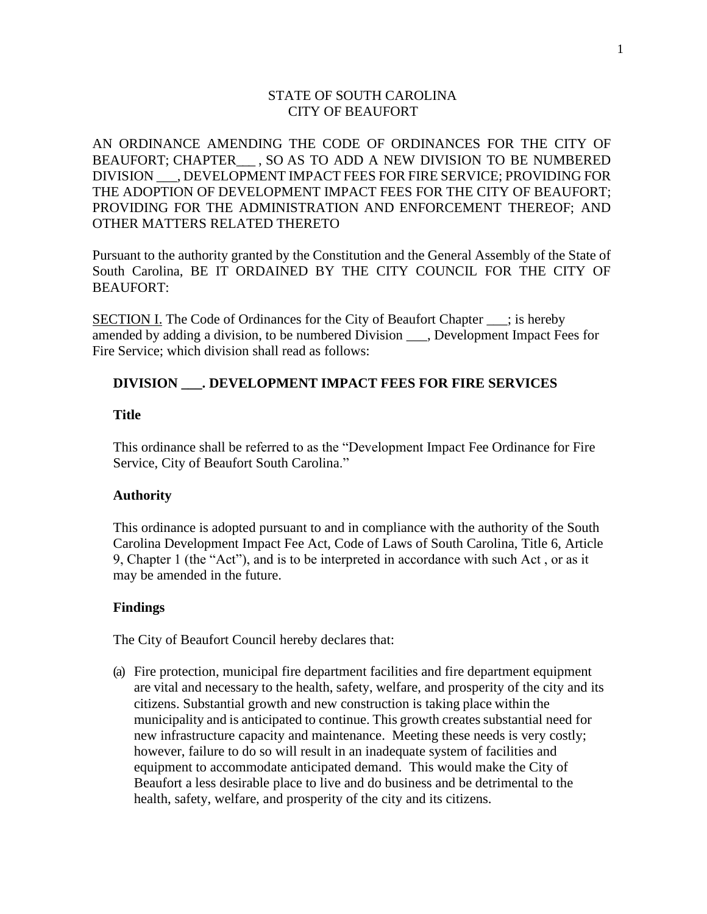# STATE OF SOUTH CAROLINA CITY OF BEAUFORT

AN ORDINANCE AMENDING THE CODE OF ORDINANCES FOR THE CITY OF BEAUFORT; CHAPTER . SO AS TO ADD A NEW DIVISION TO BE NUMBERED DIVISION \_\_\_, DEVELOPMENT IMPACT FEES FOR FIRE SERVICE; PROVIDING FOR THE ADOPTION OF DEVELOPMENT IMPACT FEES FOR THE CITY OF BEAUFORT; PROVIDING FOR THE ADMINISTRATION AND ENFORCEMENT THEREOF; AND OTHER MATTERS RELATED THERETO

Pursuant to the authority granted by the Constitution and the General Assembly of the State of South Carolina, BE IT ORDAINED BY THE CITY COUNCIL FOR THE CITY OF BEAUFORT:

SECTION I. The Code of Ordinances for the City of Beaufort Chapter \_\_\_; is hereby amended by adding a division, to be numbered Division \_\_\_, Development Impact Fees for Fire Service; which division shall read as follows:

# **DIVISION \_\_\_. DEVELOPMENT IMPACT FEES FOR FIRE SERVICES**

### **Title**

This ordinance shall be referred to as the "Development Impact Fee Ordinance for Fire Service, City of Beaufort South Carolina."

## **Authority**

This ordinance is adopted pursuant to and in compliance with the authority of the South Carolina Development Impact Fee Act, Code of Laws of South Carolina, Title 6, Article 9, Chapter 1 (the "Act"), and is to be interpreted in accordance with such Act , or as it may be amended in the future.

## **Findings**

The City of Beaufort Council hereby declares that:

(a) Fire protection, municipal fire department facilities and fire department equipment are vital and necessary to the health, safety, welfare, and prosperity of the city and its citizens. Substantial growth and new construction is taking place within the municipality and is anticipated to continue. This growth creates substantial need for new infrastructure capacity and maintenance. Meeting these needs is very costly; however, failure to do so will result in an inadequate system of facilities and equipment to accommodate anticipated demand. This would make the City of Beaufort a less desirable place to live and do business and be detrimental to the health, safety, welfare, and prosperity of the city and its citizens.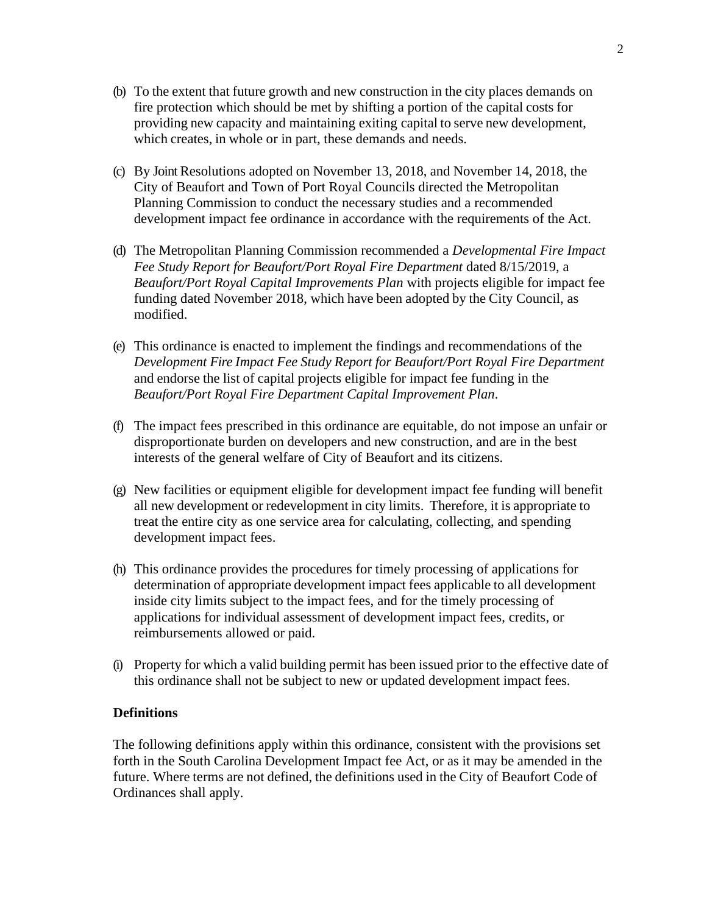- (b) To the extent that future growth and new construction in the city places demands on fire protection which should be met by shifting a portion of the capital costs for providing new capacity and maintaining exiting capital to serve new development, which creates, in whole or in part, these demands and needs.
- (c) By Joint Resolutions adopted on November 13, 2018, and November 14, 2018, the City of Beaufort and Town of Port Royal Councils directed the Metropolitan Planning Commission to conduct the necessary studies and a recommended development impact fee ordinance in accordance with the requirements of the Act.
- (d) The Metropolitan Planning Commission recommended a *Developmental Fire Impact Fee Study Report for Beaufort/Port Royal Fire Department* dated 8/15/2019, a *Beaufort/Port Royal Capital Improvements Plan* with projects eligible for impact fee funding dated November 2018, which have been adopted by the City Council, as modified.
- (e) This ordinance is enacted to implement the findings and recommendations of the *Development Fire Impact Fee Study Report for Beaufort/Port Royal Fire Department* and endorse the list of capital projects eligible for impact fee funding in the *Beaufort/Port Royal Fire Department Capital Improvement Plan*.
- (f) The impact fees prescribed in this ordinance are equitable, do not impose an unfair or disproportionate burden on developers and new construction, and are in the best interests of the general welfare of City of Beaufort and its citizens.
- (g) New facilities or equipment eligible for development impact fee funding will benefit all new development or redevelopment in city limits. Therefore, it is appropriate to treat the entire city as one service area for calculating, collecting, and spending development impact fees.
- (h) This ordinance provides the procedures for timely processing of applications for determination of appropriate development impact fees applicable to all development inside city limits subject to the impact fees, and for the timely processing of applications for individual assessment of development impact fees, credits, or reimbursements allowed or paid.
- (i) Property for which a valid building permit has been issued prior to the effective date of this ordinance shall not be subject to new or updated development impact fees.

# **Definitions**

The following definitions apply within this ordinance, consistent with the provisions set forth in the South Carolina Development Impact fee Act, or as it may be amended in the future. Where terms are not defined, the definitions used in the City of Beaufort Code of Ordinances shall apply.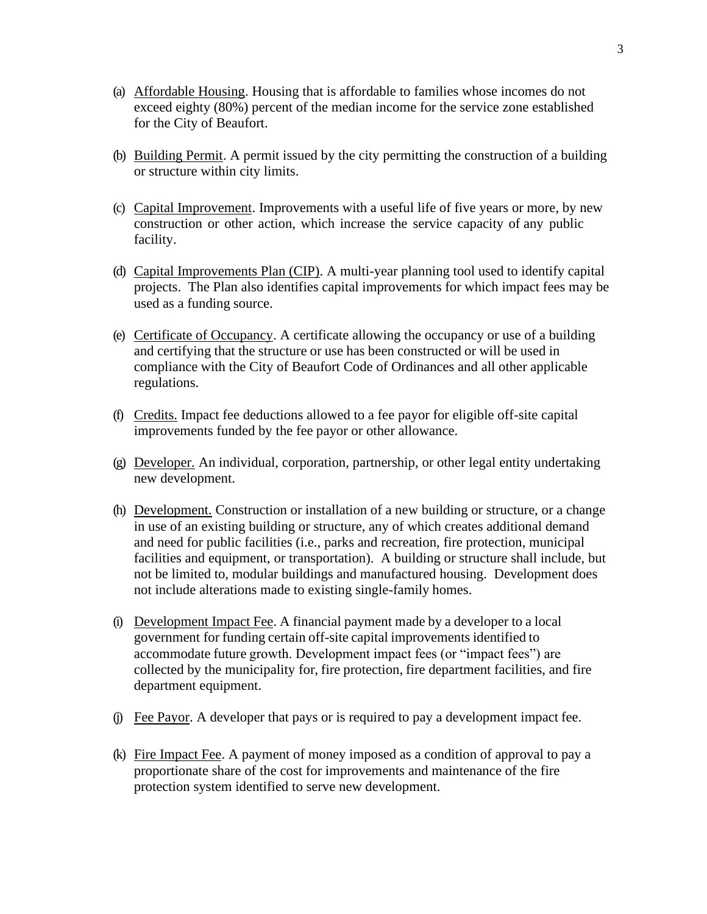- (a) Affordable Housing. Housing that is affordable to families whose incomes do not exceed eighty (80%) percent of the median income for the service zone established for the City of Beaufort.
- (b) Building Permit. A permit issued by the city permitting the construction of a building or structure within city limits.
- (c) Capital Improvement. Improvements with a useful life of five years or more, by new construction or other action, which increase the service capacity of any public facility.
- (d) Capital Improvements Plan (CIP). A multi-year planning tool used to identify capital projects. The Plan also identifies capital improvements for which impact fees may be used as a funding source.
- (e) Certificate of Occupancy. A certificate allowing the occupancy or use of a building and certifying that the structure or use has been constructed or will be used in compliance with the City of Beaufort Code of Ordinances and all other applicable regulations.
- (f) Credits. Impact fee deductions allowed to a fee payor for eligible off-site capital improvements funded by the fee payor or other allowance.
- (g) Developer. An individual, corporation, partnership, or other legal entity undertaking new development.
- (h) Development. Construction or installation of a new building or structure, or a change in use of an existing building or structure, any of which creates additional demand and need for public facilities (i.e., parks and recreation, fire protection, municipal facilities and equipment, or transportation). A building or structure shall include, but not be limited to, modular buildings and manufactured housing. Development does not include alterations made to existing single-family homes.
- (i) Development Impact Fee. A financial payment made by a developer to a local government for funding certain off-site capital improvements identified to accommodate future growth. Development impact fees (or "impact fees") are collected by the municipality for, fire protection, fire department facilities, and fire department equipment.
- (j) Fee Payor. A developer that pays or is required to pay a development impact fee.
- (k) Fire Impact Fee. A payment of money imposed as a condition of approval to pay a proportionate share of the cost for improvements and maintenance of the fire protection system identified to serve new development.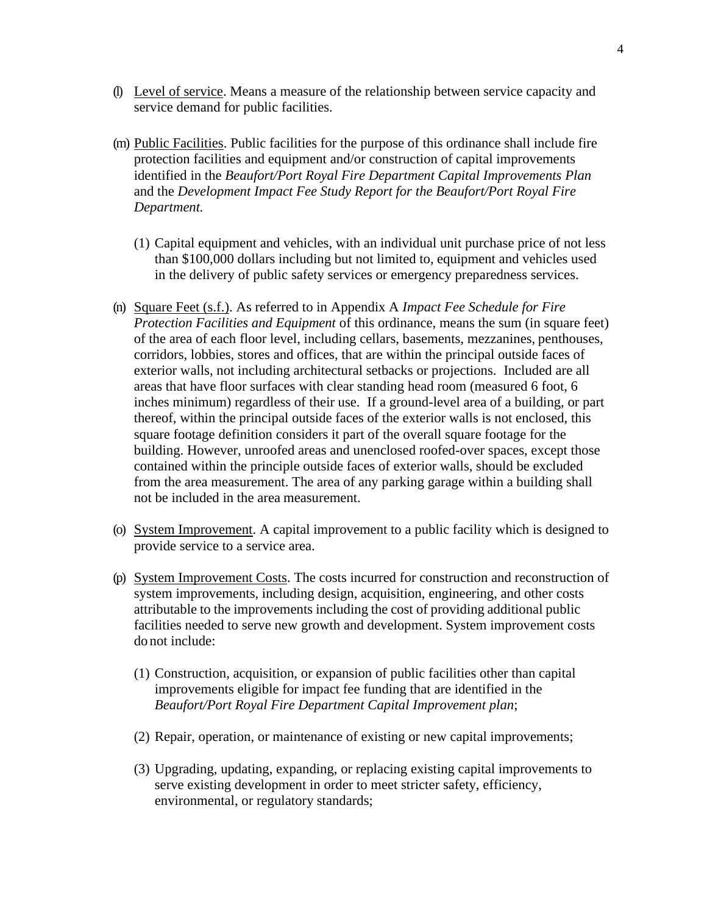- (l) Level of service. Means a measure of the relationship between service capacity and service demand for public facilities.
- (m) Public Facilities. Public facilities for the purpose of this ordinance shall include fire protection facilities and equipment and/or construction of capital improvements identified in the *Beaufort/Port Royal Fire Department Capital Improvements Plan*  and the *Development Impact Fee Study Report for the Beaufort/Port Royal Fire Department.*
	- (1) Capital equipment and vehicles, with an individual unit purchase price of not less than \$100,000 dollars including but not limited to, equipment and vehicles used in the delivery of public safety services or emergency preparedness services.
- (n) Square Feet (s.f.). As referred to in Appendix A *Impact Fee Schedule for Fire Protection Facilities and Equipment* of this ordinance, means the sum (in square feet) of the area of each floor level, including cellars, basements, mezzanines, penthouses, corridors, lobbies, stores and offices, that are within the principal outside faces of exterior walls, not including architectural setbacks or projections. Included are all areas that have floor surfaces with clear standing head room (measured 6 foot, 6 inches minimum) regardless of their use. If a ground-level area of a building, or part thereof, within the principal outside faces of the exterior walls is not enclosed, this square footage definition considers it part of the overall square footage for the building. However, unroofed areas and unenclosed roofed-over spaces, except those contained within the principle outside faces of exterior walls, should be excluded from the area measurement. The area of any parking garage within a building shall not be included in the area measurement.
- (o) System Improvement. A capital improvement to a public facility which is designed to provide service to a service area.
- (p) System Improvement Costs. The costs incurred for construction and reconstruction of system improvements, including design, acquisition, engineering, and other costs attributable to the improvements including the cost of providing additional public facilities needed to serve new growth and development. System improvement costs do not include:
	- (1) Construction, acquisition, or expansion of public facilities other than capital improvements eligible for impact fee funding that are identified in the *Beaufort/Port Royal Fire Department Capital Improvement plan*;
	- (2) Repair, operation, or maintenance of existing or new capital improvements;
	- (3) Upgrading, updating, expanding, or replacing existing capital improvements to serve existing development in order to meet stricter safety, efficiency, environmental, or regulatory standards;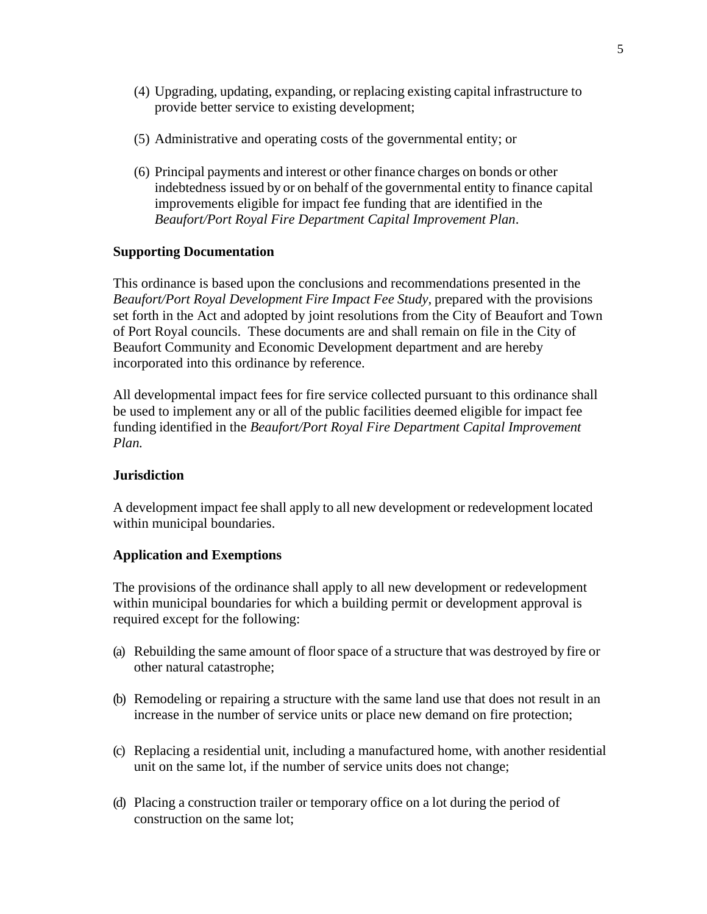- (4) Upgrading, updating, expanding, or replacing existing capital infrastructure to provide better service to existing development;
- (5) Administrative and operating costs of the governmental entity; or
- (6) Principal payments and interest or other finance charges on bonds or other indebtedness issued by or on behalf of the governmental entity to finance capital improvements eligible for impact fee funding that are identified in the *Beaufort/Port Royal Fire Department Capital Improvement Plan*.

## **Supporting Documentation**

This ordinance is based upon the conclusions and recommendations presented in the *Beaufort/Port Royal Development Fire Impact Fee Study,* prepared with the provisions set forth in the Act and adopted by joint resolutions from the City of Beaufort and Town of Port Royal councils. These documents are and shall remain on file in the City of Beaufort Community and Economic Development department and are hereby incorporated into this ordinance by reference.

All developmental impact fees for fire service collected pursuant to this ordinance shall be used to implement any or all of the public facilities deemed eligible for impact fee funding identified in the *Beaufort/Port Royal Fire Department Capital Improvement Plan.*

## **Jurisdiction**

A development impact fee shall apply to all new development or redevelopment located within municipal boundaries.

## **Application and Exemptions**

The provisions of the ordinance shall apply to all new development or redevelopment within municipal boundaries for which a building permit or development approval is required except for the following:

- (a) Rebuilding the same amount of floor space of a structure that was destroyed by fire or other natural catastrophe;
- (b) Remodeling or repairing a structure with the same land use that does not result in an increase in the number of service units or place new demand on fire protection;
- (c) Replacing a residential unit, including a manufactured home, with another residential unit on the same lot, if the number of service units does not change;
- (d) Placing a construction trailer or temporary office on a lot during the period of construction on the same lot;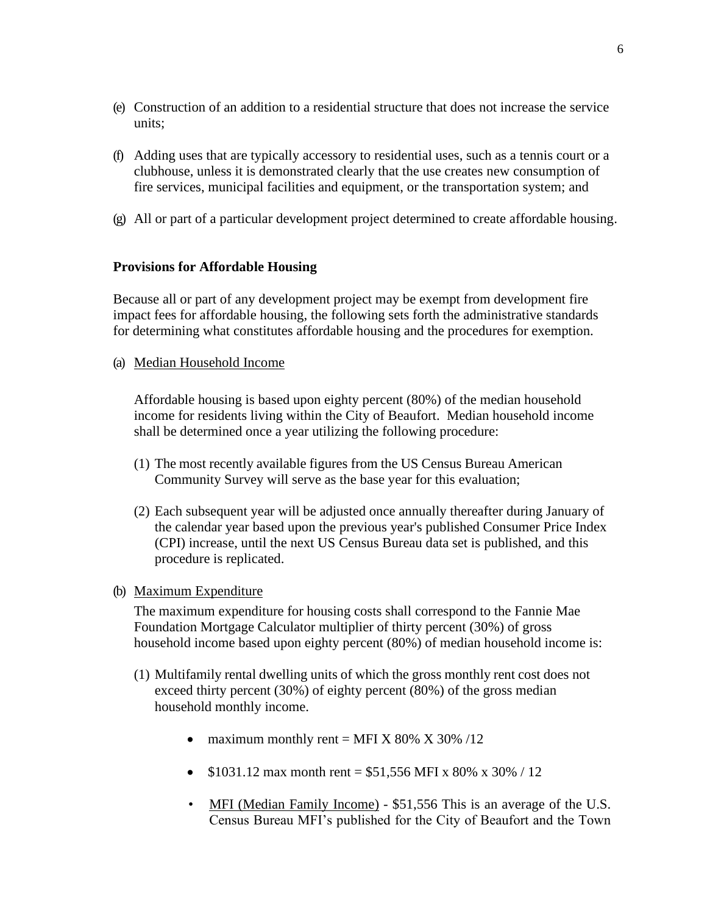- (e) Construction of an addition to a residential structure that does not increase the service units;
- (f) Adding uses that are typically accessory to residential uses, such as a tennis court or a clubhouse, unless it is demonstrated clearly that the use creates new consumption of fire services, municipal facilities and equipment, or the transportation system; and
- (g) All or part of a particular development project determined to create affordable housing.

# **Provisions for Affordable Housing**

Because all or part of any development project may be exempt from development fire impact fees for affordable housing, the following sets forth the administrative standards for determining what constitutes affordable housing and the procedures for exemption.

(a) Median Household Income

Affordable housing is based upon eighty percent (80%) of the median household income for residents living within the City of Beaufort. Median household income shall be determined once a year utilizing the following procedure:

- (1) The most recently available figures from the US Census Bureau American Community Survey will serve as the base year for this evaluation;
- (2) Each subsequent year will be adjusted once annually thereafter during January of the calendar year based upon the previous year's published Consumer Price Index (CPI) increase, until the next US Census Bureau data set is published, and this procedure is replicated.
- (b) Maximum Expenditure

The maximum expenditure for housing costs shall correspond to the Fannie Mae Foundation Mortgage Calculator multiplier of thirty percent (30%) of gross household income based upon eighty percent (80%) of median household income is:

- (1) Multifamily rental dwelling units of which the gross monthly rent cost does not exceed thirty percent (30%) of eighty percent (80%) of the gross median household monthly income.
	- maximum monthly rent = MFI X 80% X 30% /12
	- \$1031.12 max month rent = \$51,556 MFI x 80% x 30% / 12
	- MFI (Median Family Income) \$51,556 This is an average of the U.S. Census Bureau MFI's published for the City of Beaufort and the Town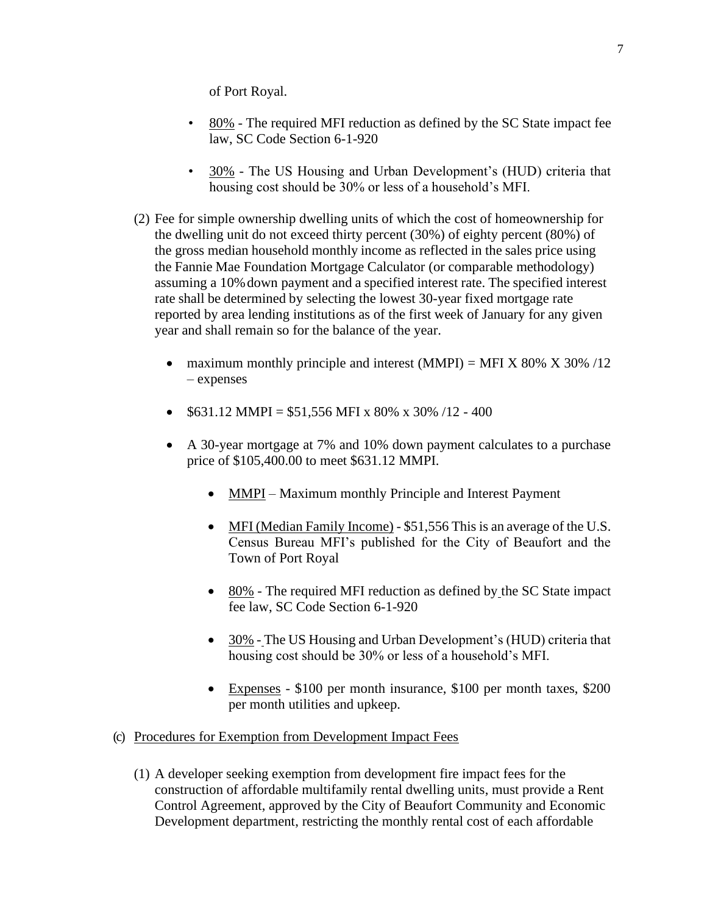of Port Royal.

- 80% The required MFI reduction as defined by the SC State impact fee law, SC Code Section 6-1-920
- 30% The US Housing and Urban Development's (HUD) criteria that housing cost should be 30% or less of a household's MFI.
- (2) Fee for simple ownership dwelling units of which the cost of homeownership for the dwelling unit do not exceed thirty percent (30%) of eighty percent (80%) of the gross median household monthly income as reflected in the sales price using the Fannie Mae Foundation Mortgage Calculator (or comparable methodology) assuming a 10%down payment and a specified interest rate. The specified interest rate shall be determined by selecting the lowest 30-year fixed mortgage rate reported by area lending institutions as of the first week of January for any given year and shall remain so for the balance of the year.
	- maximum monthly principle and interest  $(MMPI) = MFI X 80\% X 30\% /12$ – expenses
	- $$631.12 \text{ MMPI} = $51,556 \text{ MPI} \times 80\% \times 30\% /12 400$
	- A 30-year mortgage at 7% and 10% down payment calculates to a purchase price of \$105,400.00 to meet \$631.12 MMPI.
		- MMPI Maximum monthly Principle and Interest Payment
		- MFI (Median Family Income) \$51,556 This is an average of the U.S. Census Bureau MFI's published for the City of Beaufort and the Town of Port Royal
		- 80% The required MFI reduction as defined by the SC State impact fee law, SC Code Section 6-1-920
		- 30% The US Housing and Urban Development's (HUD) criteria that housing cost should be 30% or less of a household's MFI.
		- Expenses \$100 per month insurance, \$100 per month taxes, \$200 per month utilities and upkeep.
- (c) Procedures for Exemption from Development Impact Fees
	- (1) A developer seeking exemption from development fire impact fees for the construction of affordable multifamily rental dwelling units, must provide a Rent Control Agreement, approved by the City of Beaufort Community and Economic Development department, restricting the monthly rental cost of each affordable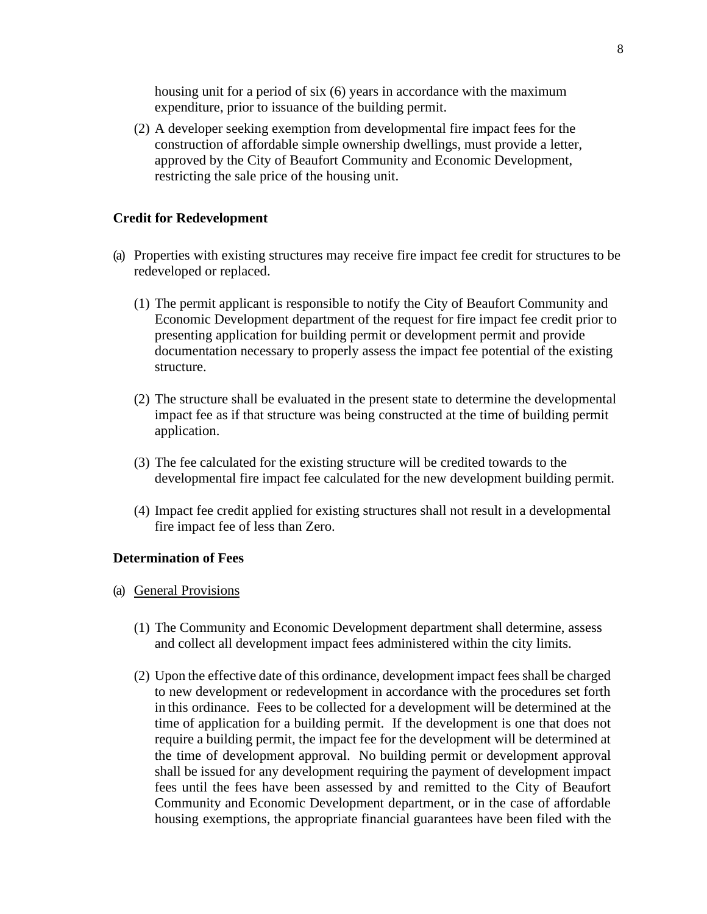housing unit for a period of six (6) years in accordance with the maximum expenditure, prior to issuance of the building permit.

(2) A developer seeking exemption from developmental fire impact fees for the construction of affordable simple ownership dwellings, must provide a letter, approved by the City of Beaufort Community and Economic Development, restricting the sale price of the housing unit.

#### **Credit for Redevelopment**

- (a) Properties with existing structures may receive fire impact fee credit for structures to be redeveloped or replaced.
	- (1) The permit applicant is responsible to notify the City of Beaufort Community and Economic Development department of the request for fire impact fee credit prior to presenting application for building permit or development permit and provide documentation necessary to properly assess the impact fee potential of the existing structure.
	- (2) The structure shall be evaluated in the present state to determine the developmental impact fee as if that structure was being constructed at the time of building permit application.
	- (3) The fee calculated for the existing structure will be credited towards to the developmental fire impact fee calculated for the new development building permit.
	- (4) Impact fee credit applied for existing structures shall not result in a developmental fire impact fee of less than Zero.

#### **Determination of Fees**

- (a) General Provisions
	- (1) The Community and Economic Development department shall determine, assess and collect all development impact fees administered within the city limits.
	- (2) Upon the effective date of this ordinance, development impact fees shall be charged to new development or redevelopment in accordance with the procedures set forth in this ordinance. Fees to be collected for a development will be determined at the time of application for a building permit. If the development is one that does not require a building permit, the impact fee for the development will be determined at the time of development approval. No building permit or development approval shall be issued for any development requiring the payment of development impact fees until the fees have been assessed by and remitted to the City of Beaufort Community and Economic Development department, or in the case of affordable housing exemptions, the appropriate financial guarantees have been filed with the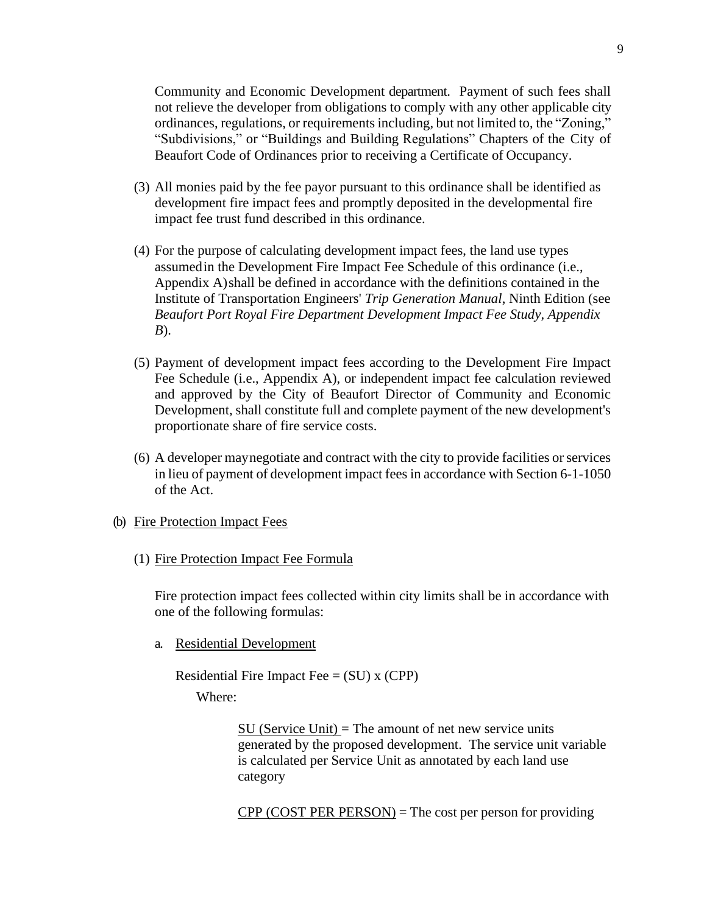Community and Economic Development department. Payment of such fees shall not relieve the developer from obligations to comply with any other applicable city ordinances, regulations, or requirementsincluding, but not limited to, the "Zoning," "Subdivisions," or "Buildings and Building Regulations" Chapters of the City of Beaufort Code of Ordinances prior to receiving a Certificate of Occupancy.

- (3) All monies paid by the fee payor pursuant to this ordinance shall be identified as development fire impact fees and promptly deposited in the developmental fire impact fee trust fund described in this ordinance.
- (4) For the purpose of calculating development impact fees, the land use types assumedin the Development Fire Impact Fee Schedule of this ordinance (i.e., Appendix A)shall be defined in accordance with the definitions contained in the Institute of Transportation Engineers' *Trip Generation Manual*, Ninth Edition (see *Beaufort Port Royal Fire Department Development Impact Fee Study, Appendix B*).
- (5) Payment of development impact fees according to the Development Fire Impact Fee Schedule (i.e., Appendix A), or independent impact fee calculation reviewed and approved by the City of Beaufort Director of Community and Economic Development, shall constitute full and complete payment of the new development's proportionate share of fire service costs.
- (6) A developer maynegotiate and contract with the city to provide facilities or services in lieu of payment of development impact fees in accordance with Section 6-1-1050 of the Act.
- (b) Fire Protection Impact Fees
	- (1) Fire Protection Impact Fee Formula

Fire protection impact fees collected within city limits shall be in accordance with one of the following formulas:

a. Residential Development

Residential Fire Impact Fee  $= (SU)$  x (CPP) Where:

> $SU$  (Service Unit) = The amount of net new service units generated by the proposed development. The service unit variable is calculated per Service Unit as annotated by each land use category

 $CPP (COST PER PERSON) = The cost per person for providing$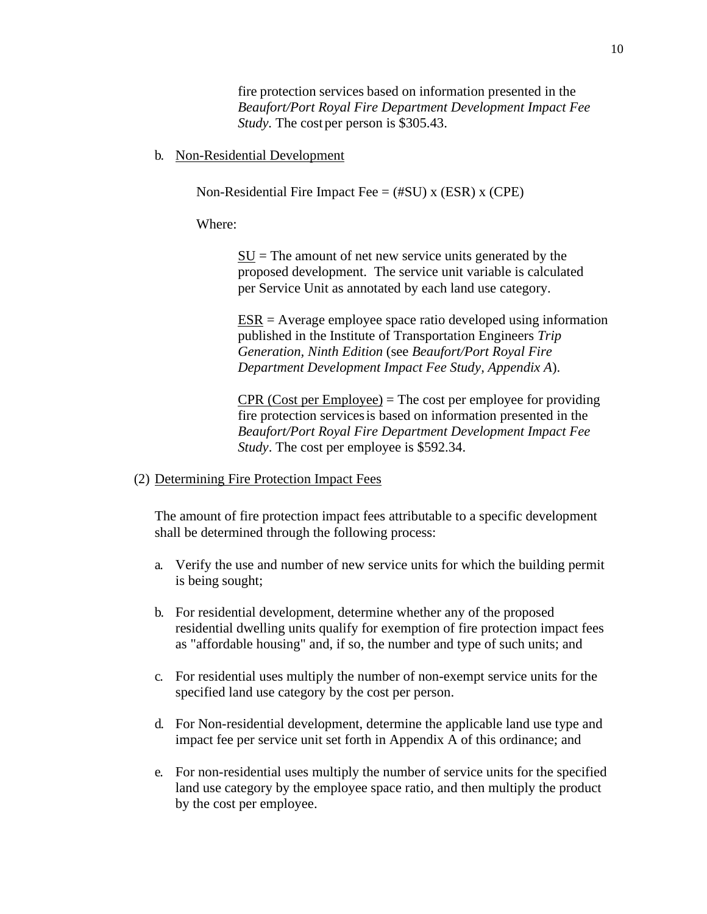fire protection services based on information presented in the *Beaufort/Port Royal Fire Department Development Impact Fee Study.* The cost per person is \$305.43.

b. Non-Residential Development

Non-Residential Fire Impact Fee  $=$  (#SU) x (ESR) x (CPE)

Where:

 $SU = The amount of net new service units generated by the$ proposed development. The service unit variable is calculated per Service Unit as annotated by each land use category.

ESR = Average employee space ratio developed using information published in the Institute of Transportation Engineers *Trip Generation, Ninth Edition* (see *Beaufort/Port Royal Fire Department Development Impact Fee Study, Appendix A*).

 $CPR$  (Cost per Employee) = The cost per employee for providing fire protection servicesis based on information presented in the *Beaufort/Port Royal Fire Department Development Impact Fee Study*. The cost per employee is \$592.34.

(2) Determining Fire Protection Impact Fees

The amount of fire protection impact fees attributable to a specific development shall be determined through the following process:

- a. Verify the use and number of new service units for which the building permit is being sought;
- b. For residential development, determine whether any of the proposed residential dwelling units qualify for exemption of fire protection impact fees as "affordable housing" and, if so, the number and type of such units; and
- c. For residential uses multiply the number of non-exempt service units for the specified land use category by the cost per person.
- d. For Non-residential development, determine the applicable land use type and impact fee per service unit set forth in Appendix A of this ordinance; and
- e. For non-residential uses multiply the number of service units for the specified land use category by the employee space ratio, and then multiply the product by the cost per employee.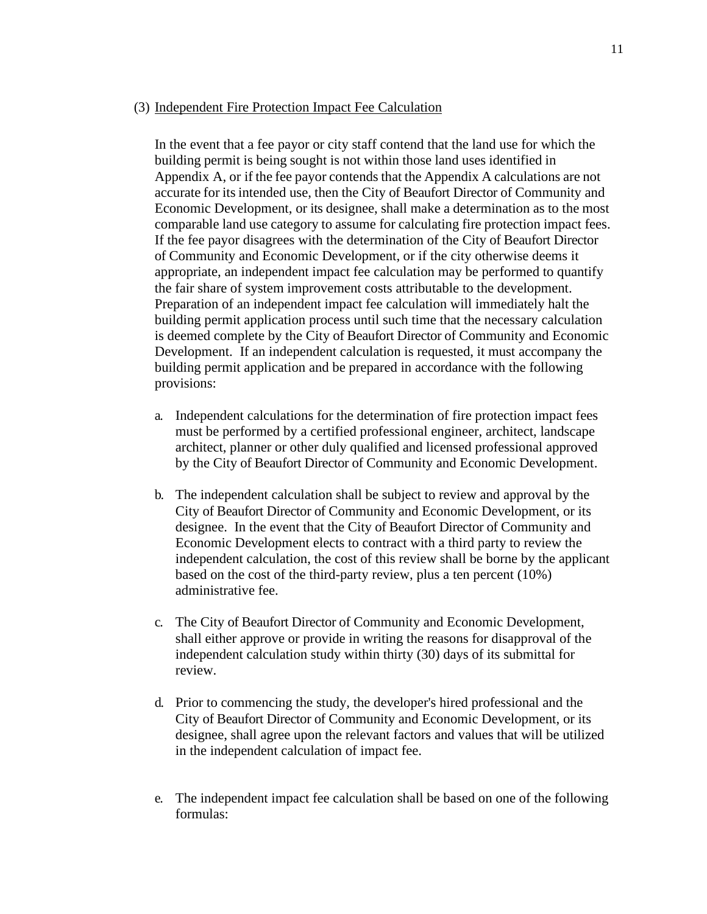### (3) Independent Fire Protection Impact Fee Calculation

In the event that a fee payor or city staff contend that the land use for which the building permit is being sought is not within those land uses identified in Appendix A, or if the fee payor contends that the Appendix A calculations are not accurate for its intended use, then the City of Beaufort Director of Community and Economic Development, or its designee, shall make a determination as to the most comparable land use category to assume for calculating fire protection impact fees. If the fee payor disagrees with the determination of the City of Beaufort Director of Community and Economic Development, or if the city otherwise deems it appropriate, an independent impact fee calculation may be performed to quantify the fair share of system improvement costs attributable to the development. Preparation of an independent impact fee calculation will immediately halt the building permit application process until such time that the necessary calculation is deemed complete by the City of Beaufort Director of Community and Economic Development. If an independent calculation is requested, it must accompany the building permit application and be prepared in accordance with the following provisions:

- a. Independent calculations for the determination of fire protection impact fees must be performed by a certified professional engineer, architect, landscape architect, planner or other duly qualified and licensed professional approved by the City of Beaufort Director of Community and Economic Development.
- b. The independent calculation shall be subject to review and approval by the City of Beaufort Director of Community and Economic Development, or its designee. In the event that the City of Beaufort Director of Community and Economic Development elects to contract with a third party to review the independent calculation, the cost of this review shall be borne by the applicant based on the cost of the third-party review, plus a ten percent (10%) administrative fee.
- c. The City of Beaufort Director of Community and Economic Development, shall either approve or provide in writing the reasons for disapproval of the independent calculation study within thirty (30) days of its submittal for review.
- d. Prior to commencing the study, the developer's hired professional and the City of Beaufort Director of Community and Economic Development, or its designee, shall agree upon the relevant factors and values that will be utilized in the independent calculation of impact fee.
- e. The independent impact fee calculation shall be based on one of the following formulas: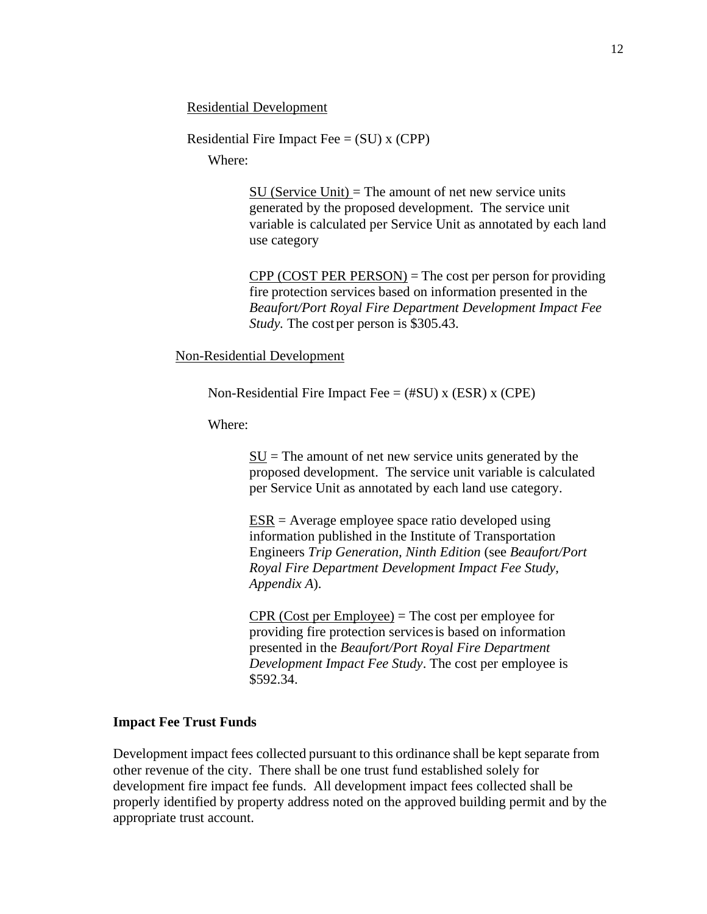Residential Development

Residential Fire Impact Fee  $= (SU)$  x (CPP)

Where:

SU (Service Unit) = The amount of net new service units generated by the proposed development. The service unit variable is calculated per Service Unit as annotated by each land use category

 $CPP (COST PER PERSON) = The cost per person for providing$ fire protection services based on information presented in the *Beaufort/Port Royal Fire Department Development Impact Fee Study.* The cost per person is \$305.43.

Non-Residential Development

Non-Residential Fire Impact Fee  $=$  (#SU) x (ESR) x (CPE)

Where:

 $SU =$  The amount of net new service units generated by the proposed development. The service unit variable is calculated per Service Unit as annotated by each land use category.

 $ESR = Average$  employee space ratio developed using information published in the Institute of Transportation Engineers *Trip Generation, Ninth Edition* (see *Beaufort/Port Royal Fire Department Development Impact Fee Study, Appendix A*).

 $CPR$  (Cost per Employee) = The cost per employee for providing fire protection servicesis based on information presented in the *Beaufort/Port Royal Fire Department Development Impact Fee Study*. The cost per employee is \$592.34.

#### **Impact Fee Trust Funds**

Development impact fees collected pursuant to this ordinance shall be kept separate from other revenue of the city. There shall be one trust fund established solely for development fire impact fee funds. All development impact fees collected shall be properly identified by property address noted on the approved building permit and by the appropriate trust account.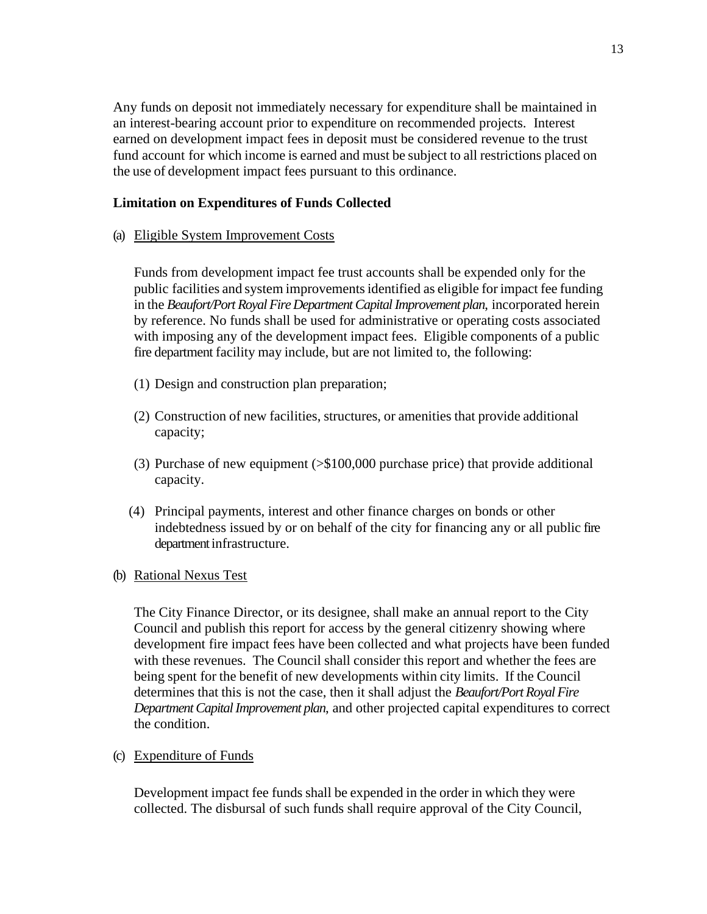Any funds on deposit not immediately necessary for expenditure shall be maintained in an interest-bearing account prior to expenditure on recommended projects. Interest earned on development impact fees in deposit must be considered revenue to the trust fund account for which income is earned and must be subject to all restrictions placed on the use of development impact fees pursuant to this ordinance.

# **Limitation on Expenditures of Funds Collected**

(a) Eligible System Improvement Costs

Funds from development impact fee trust accounts shall be expended only for the public facilities and system improvementsidentified as eligible for impact fee funding in the *Beaufort/Port Royal Fire Department Capital Improvement plan*, incorporated herein by reference. No funds shall be used for administrative or operating costs associated with imposing any of the development impact fees. Eligible components of a public fire department facility may include, but are not limited to, the following:

- (1) Design and construction plan preparation;
- (2) Construction of new facilities, structures, or amenities that provide additional capacity;
- (3) Purchase of new equipment (>\$100,000 purchase price) that provide additional capacity.
- (4) Principal payments, interest and other finance charges on bonds or other indebtedness issued by or on behalf of the city for financing any or all public fire department infrastructure.
- (b) Rational Nexus Test

The City Finance Director, or its designee, shall make an annual report to the City Council and publish this report for access by the general citizenry showing where development fire impact fees have been collected and what projects have been funded with these revenues. The Council shall consider this report and whether the fees are being spent for the benefit of new developments within city limits. If the Council determines that this is not the case, then it shall adjust the *Beaufort/Port Royal Fire DepartmentCapital Improvement plan*, and other projected capital expenditures to correct the condition.

(c) Expenditure of Funds

Development impact fee funds shall be expended in the order in which they were collected. The disbursal of such funds shall require approval of the City Council,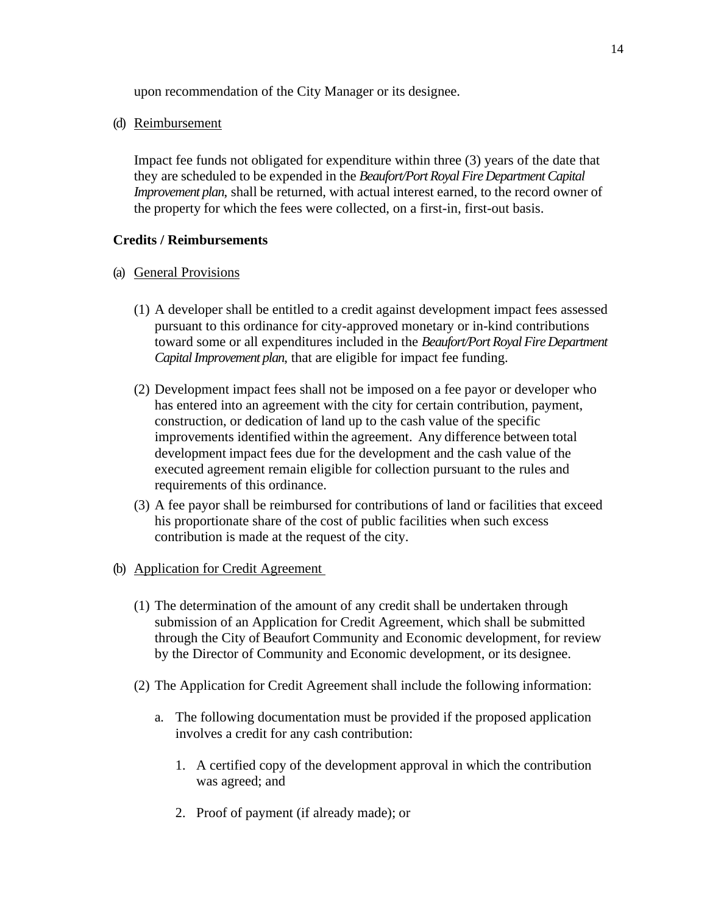upon recommendation of the City Manager or its designee.

(d) Reimbursement

Impact fee funds not obligated for expenditure within three (3) years of the date that they are scheduled to be expended in the *Beaufort/Port Royal Fire Department Capital Improvement plan*, shall be returned, with actual interest earned, to the record owner of the property for which the fees were collected, on a first-in, first-out basis.

# **Credits / Reimbursements**

- (a) General Provisions
	- (1) A developer shall be entitled to a credit against development impact fees assessed pursuant to this ordinance for city-approved monetary or in-kind contributions toward some or all expenditures included in the *Beaufort/Port Royal Fire Department Capital Improvement plan*, that are eligible for impact fee funding.
	- (2) Development impact fees shall not be imposed on a fee payor or developer who has entered into an agreement with the city for certain contribution, payment, construction, or dedication of land up to the cash value of the specific improvements identified within the agreement. Any difference between total development impact fees due for the development and the cash value of the executed agreement remain eligible for collection pursuant to the rules and requirements of this ordinance.
	- (3) A fee payor shall be reimbursed for contributions of land or facilities that exceed his proportionate share of the cost of public facilities when such excess contribution is made at the request of the city.
- (b) Application for Credit Agreement
	- (1) The determination of the amount of any credit shall be undertaken through submission of an Application for Credit Agreement, which shall be submitted through the City of Beaufort Community and Economic development, for review by the Director of Community and Economic development, or its designee.
	- (2) The Application for Credit Agreement shall include the following information:
		- a. The following documentation must be provided if the proposed application involves a credit for any cash contribution:
			- 1. A certified copy of the development approval in which the contribution was agreed; and
			- 2. Proof of payment (if already made); or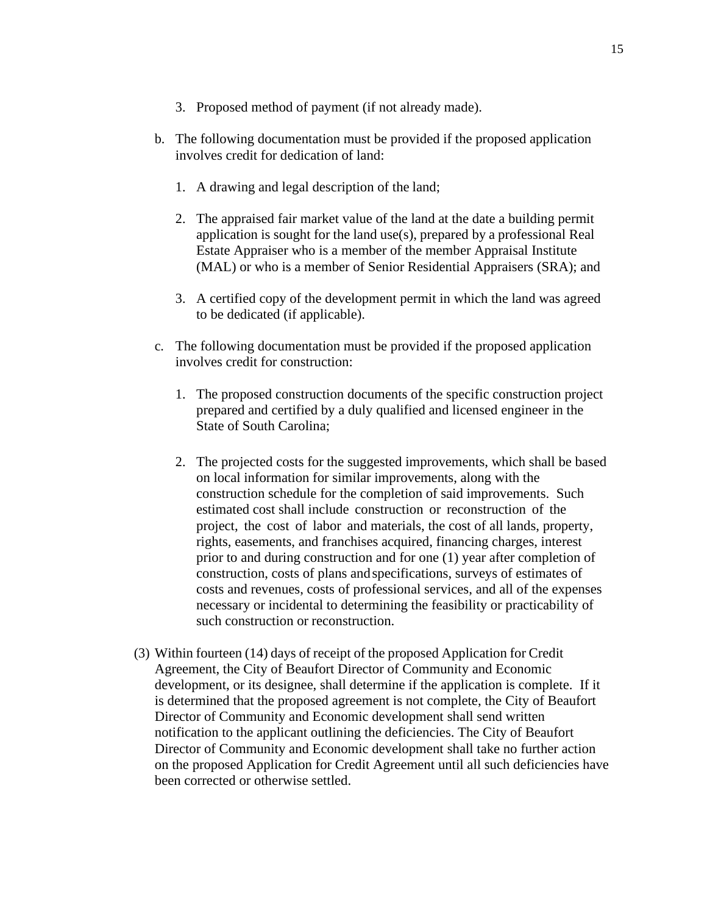- 3. Proposed method of payment (if not already made).
- b. The following documentation must be provided if the proposed application involves credit for dedication of land:
	- 1. A drawing and legal description of the land;
	- 2. The appraised fair market value of the land at the date a building permit application is sought for the land use(s), prepared by a professional Real Estate Appraiser who is a member of the member Appraisal Institute (MAL) or who is a member of Senior Residential Appraisers (SRA); and
	- 3. A certified copy of the development permit in which the land was agreed to be dedicated (if applicable).
- c. The following documentation must be provided if the proposed application involves credit for construction:
	- 1. The proposed construction documents of the specific construction project prepared and certified by a duly qualified and licensed engineer in the State of South Carolina;
	- 2. The projected costs for the suggested improvements, which shall be based on local information for similar improvements, along with the construction schedule for the completion of said improvements. Such estimated cost shall include construction or reconstruction of the project, the cost of labor and materials, the cost of all lands, property, rights, easements, and franchises acquired, financing charges, interest prior to and during construction and for one (1) year after completion of construction, costs of plans andspecifications, surveys of estimates of costs and revenues, costs of professional services, and all of the expenses necessary or incidental to determining the feasibility or practicability of such construction or reconstruction.
- (3) Within fourteen (14) days of receipt of the proposed Application for Credit Agreement, the City of Beaufort Director of Community and Economic development, or its designee, shall determine if the application is complete. If it is determined that the proposed agreement is not complete, the City of Beaufort Director of Community and Economic development shall send written notification to the applicant outlining the deficiencies. The City of Beaufort Director of Community and Economic development shall take no further action on the proposed Application for Credit Agreement until all such deficiencies have been corrected or otherwise settled.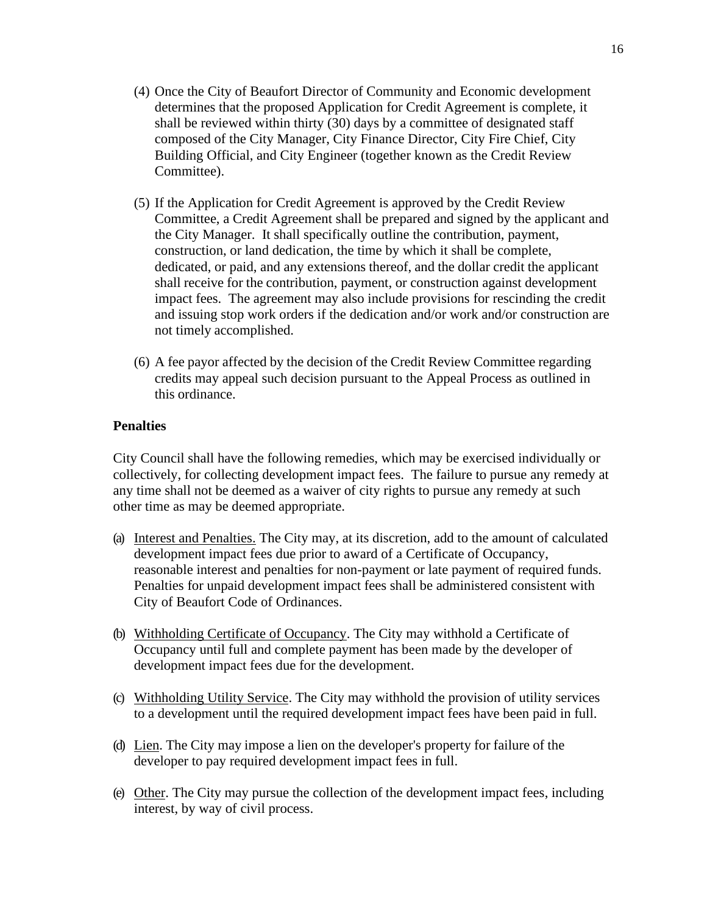- (4) Once the City of Beaufort Director of Community and Economic development determines that the proposed Application for Credit Agreement is complete, it shall be reviewed within thirty (30) days by a committee of designated staff composed of the City Manager, City Finance Director, City Fire Chief, City Building Official, and City Engineer (together known as the Credit Review Committee).
- (5) If the Application for Credit Agreement is approved by the Credit Review Committee, a Credit Agreement shall be prepared and signed by the applicant and the City Manager. It shall specifically outline the contribution, payment, construction, or land dedication, the time by which it shall be complete, dedicated, or paid, and any extensions thereof, and the dollar credit the applicant shall receive for the contribution, payment, or construction against development impact fees. The agreement may also include provisions for rescinding the credit and issuing stop work orders if the dedication and/or work and/or construction are not timely accomplished.
- (6) A fee payor affected by the decision of the Credit Review Committee regarding credits may appeal such decision pursuant to the Appeal Process as outlined in this ordinance.

# **Penalties**

City Council shall have the following remedies, which may be exercised individually or collectively, for collecting development impact fees. The failure to pursue any remedy at any time shall not be deemed as a waiver of city rights to pursue any remedy at such other time as may be deemed appropriate.

- (a) Interest and Penalties. The City may, at its discretion, add to the amount of calculated development impact fees due prior to award of a Certificate of Occupancy, reasonable interest and penalties for non-payment or late payment of required funds. Penalties for unpaid development impact fees shall be administered consistent with City of Beaufort Code of Ordinances.
- (b) Withholding Certificate of Occupancy. The City may withhold a Certificate of Occupancy until full and complete payment has been made by the developer of development impact fees due for the development.
- (c) Withholding Utility Service. The City may withhold the provision of utility services to a development until the required development impact fees have been paid in full.
- (d) Lien. The City may impose a lien on the developer's property for failure of the developer to pay required development impact fees in full.
- (e) Other. The City may pursue the collection of the development impact fees, including interest, by way of civil process.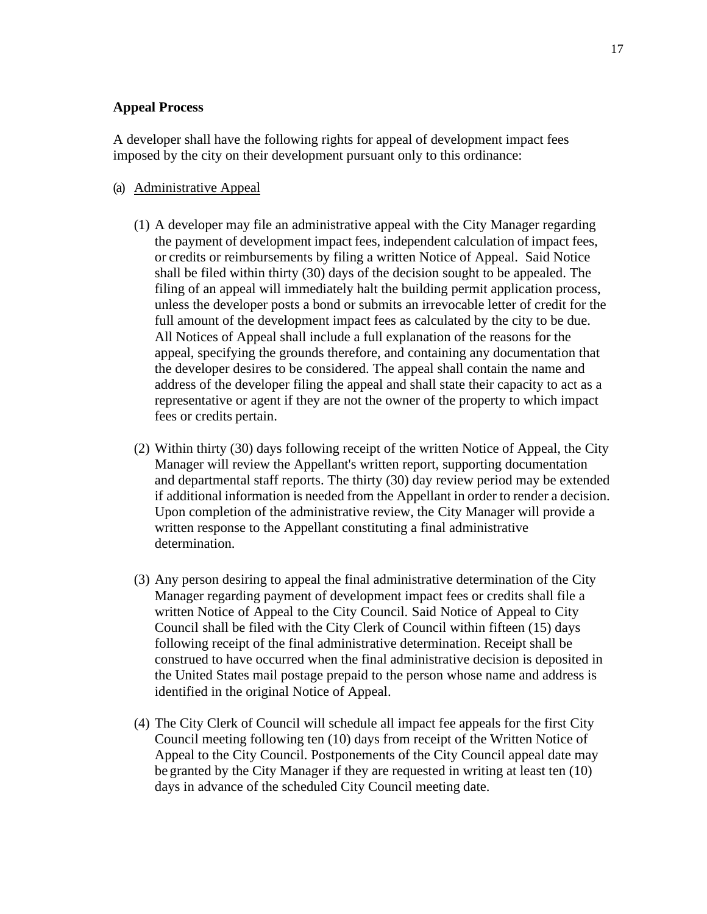# **Appeal Process**

A developer shall have the following rights for appeal of development impact fees imposed by the city on their development pursuant only to this ordinance:

#### (a) Administrative Appeal

- (1) A developer may file an administrative appeal with the City Manager regarding the payment of development impact fees, independent calculation of impact fees, or credits or reimbursements by filing a written Notice of Appeal. Said Notice shall be filed within thirty (30) days of the decision sought to be appealed. The filing of an appeal will immediately halt the building permit application process, unless the developer posts a bond or submits an irrevocable letter of credit for the full amount of the development impact fees as calculated by the city to be due. All Notices of Appeal shall include a full explanation of the reasons for the appeal, specifying the grounds therefore, and containing any documentation that the developer desires to be considered. The appeal shall contain the name and address of the developer filing the appeal and shall state their capacity to act as a representative or agent if they are not the owner of the property to which impact fees or credits pertain.
- (2) Within thirty (30) days following receipt of the written Notice of Appeal, the City Manager will review the Appellant's written report, supporting documentation and departmental staff reports. The thirty (30) day review period may be extended if additional information is needed from the Appellant in order to render a decision. Upon completion of the administrative review, the City Manager will provide a written response to the Appellant constituting a final administrative determination.
- (3) Any person desiring to appeal the final administrative determination of the City Manager regarding payment of development impact fees or credits shall file a written Notice of Appeal to the City Council. Said Notice of Appeal to City Council shall be filed with the City Clerk of Council within fifteen (15) days following receipt of the final administrative determination. Receipt shall be construed to have occurred when the final administrative decision is deposited in the United States mail postage prepaid to the person whose name and address is identified in the original Notice of Appeal.
- (4) The City Clerk of Council will schedule all impact fee appeals for the first City Council meeting following ten (10) days from receipt of the Written Notice of Appeal to the City Council. Postponements of the City Council appeal date may be granted by the City Manager if they are requested in writing at least ten (10) days in advance of the scheduled City Council meeting date.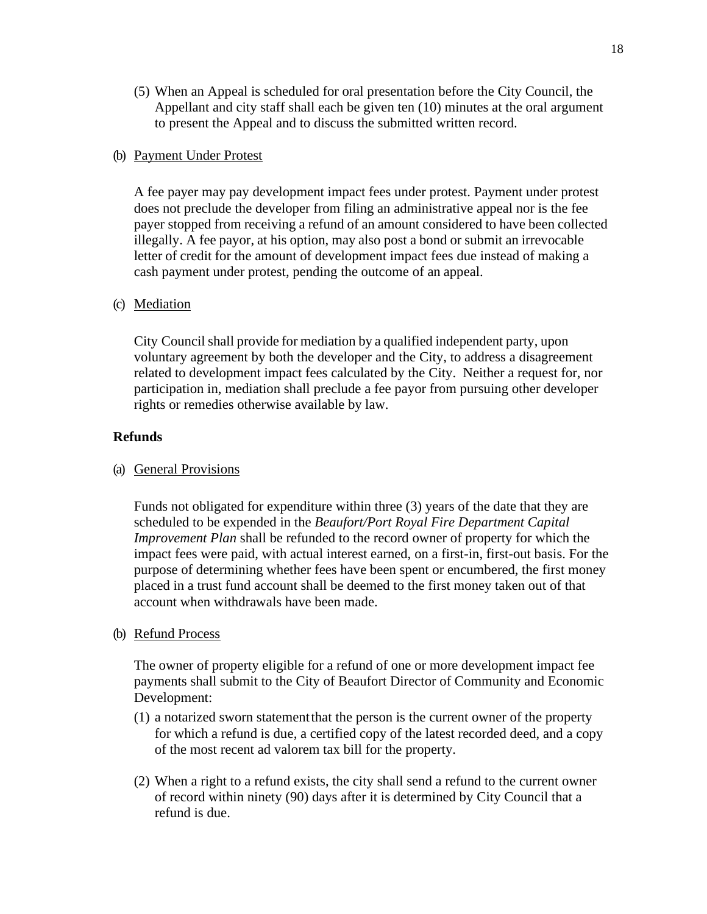(5) When an Appeal is scheduled for oral presentation before the City Council, the Appellant and city staff shall each be given ten (10) minutes at the oral argument to present the Appeal and to discuss the submitted written record.

## (b) Payment Under Protest

A fee payer may pay development impact fees under protest. Payment under protest does not preclude the developer from filing an administrative appeal nor is the fee payer stopped from receiving a refund of an amount considered to have been collected illegally. A fee payor, at his option, may also post a bond or submit an irrevocable letter of credit for the amount of development impact fees due instead of making a cash payment under protest, pending the outcome of an appeal.

# (c) Mediation

City Council shall provide for mediation by a qualified independent party, upon voluntary agreement by both the developer and the City, to address a disagreement related to development impact fees calculated by the City. Neither a request for, nor participation in, mediation shall preclude a fee payor from pursuing other developer rights or remedies otherwise available by law.

# **Refunds**

## (a) General Provisions

Funds not obligated for expenditure within three (3) years of the date that they are scheduled to be expended in the *Beaufort/Port Royal Fire Department Capital Improvement Plan* shall be refunded to the record owner of property for which the impact fees were paid, with actual interest earned, on a first-in, first-out basis. For the purpose of determining whether fees have been spent or encumbered, the first money placed in a trust fund account shall be deemed to the first money taken out of that account when withdrawals have been made.

## (b) Refund Process

The owner of property eligible for a refund of one or more development impact fee payments shall submit to the City of Beaufort Director of Community and Economic Development:

- (1) a notarized sworn statementthat the person is the current owner of the property for which a refund is due, a certified copy of the latest recorded deed, and a copy of the most recent ad valorem tax bill for the property.
- (2) When a right to a refund exists, the city shall send a refund to the current owner of record within ninety (90) days after it is determined by City Council that a refund is due.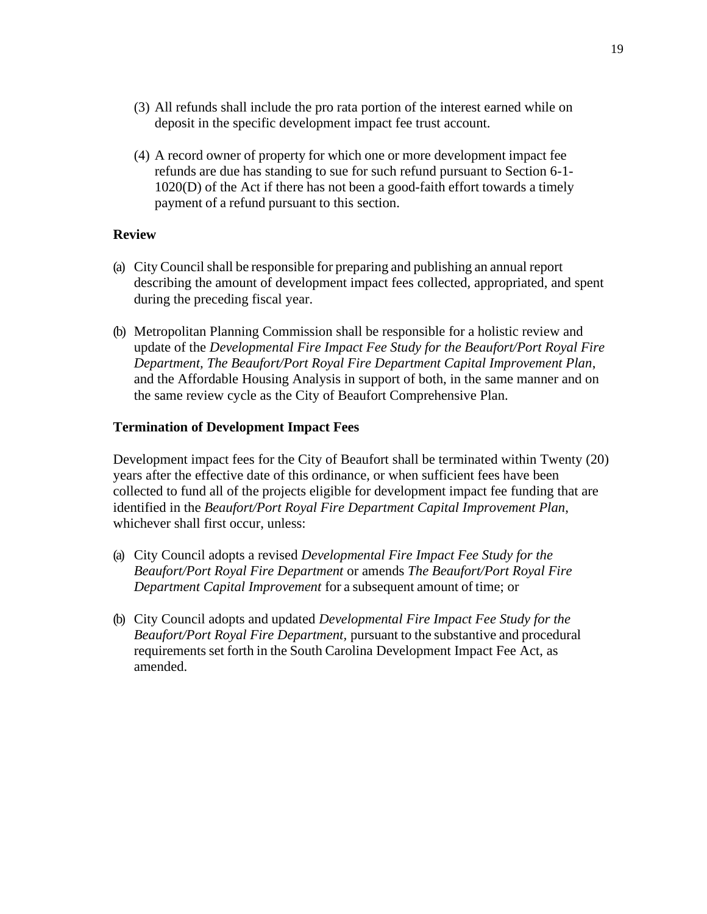- (3) All refunds shall include the pro rata portion of the interest earned while on deposit in the specific development impact fee trust account.
- (4) A record owner of property for which one or more development impact fee refunds are due has standing to sue for such refund pursuant to Section 6-1- 1020(D) of the Act if there has not been a good-faith effort towards a timely payment of a refund pursuant to this section.

# **Review**

- (a) City Council shall be responsible for preparing and publishing an annual report describing the amount of development impact fees collected, appropriated, and spent during the preceding fiscal year.
- (b) Metropolitan Planning Commission shall be responsible for a holistic review and update of the *Developmental Fire Impact Fee Study for the Beaufort/Port Royal Fire Department, The Beaufort/Port Royal Fire Department Capital Improvement Plan*, and the Affordable Housing Analysis in support of both, in the same manner and on the same review cycle as the City of Beaufort Comprehensive Plan.

# **Termination of Development Impact Fees**

Development impact fees for the City of Beaufort shall be terminated within Twenty (20) years after the effective date of this ordinance, or when sufficient fees have been collected to fund all of the projects eligible for development impact fee funding that are identified in the *Beaufort/Port Royal Fire Department Capital Improvement Plan*, whichever shall first occur, unless:

- (a) City Council adopts a revised *Developmental Fire Impact Fee Study for the Beaufort/Port Royal Fire Department* or amends *The Beaufort/Port Royal Fire Department Capital Improvement* for a subsequent amount of time; or
- (b) City Council adopts and updated *Developmental Fire Impact Fee Study for the Beaufort/Port Royal Fire Department,* pursuant to the substantive and procedural requirements set forth in the South Carolina Development Impact Fee Act, as amended.